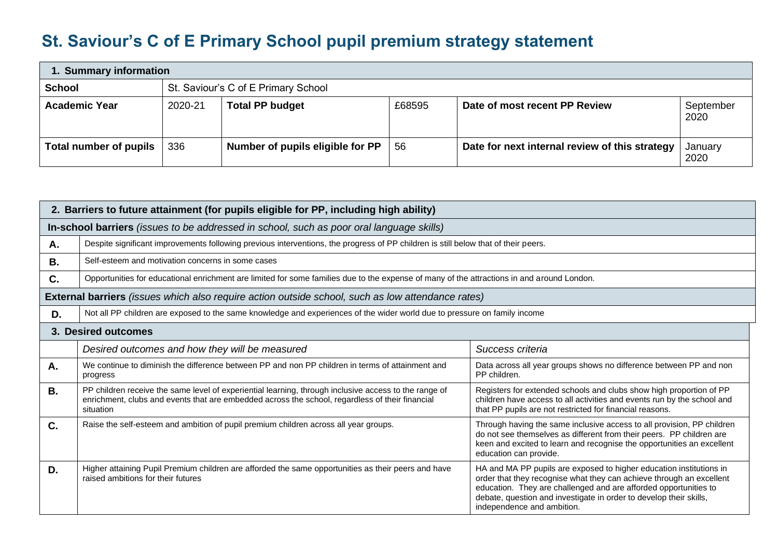## **St. Saviour's C of E Primary School pupil premium strategy statement**

| 1. Summary information        |         |                                     |        |                                                |                   |  |  |
|-------------------------------|---------|-------------------------------------|--------|------------------------------------------------|-------------------|--|--|
| <b>School</b>                 |         | St. Saviour's C of E Primary School |        |                                                |                   |  |  |
| <b>Academic Year</b>          | 2020-21 | <b>Total PP budget</b>              | £68595 | Date of most recent PP Review                  | September<br>2020 |  |  |
| <b>Total number of pupils</b> | 336     | Number of pupils eligible for PP    | 56     | Date for next internal review of this strategy | January<br>2020   |  |  |

| 2. Barriers to future attainment (for pupils eligible for PP, including high ability) |                                                                                                                                                                                                                       |                                                                                                                                                                                                                                                                                                                     |  |  |  |  |  |
|---------------------------------------------------------------------------------------|-----------------------------------------------------------------------------------------------------------------------------------------------------------------------------------------------------------------------|---------------------------------------------------------------------------------------------------------------------------------------------------------------------------------------------------------------------------------------------------------------------------------------------------------------------|--|--|--|--|--|
|                                                                                       | In-school barriers (issues to be addressed in school, such as poor oral language skills)                                                                                                                              |                                                                                                                                                                                                                                                                                                                     |  |  |  |  |  |
| Α.                                                                                    | Despite significant improvements following previous interventions, the progress of PP children is still below that of their peers.                                                                                    |                                                                                                                                                                                                                                                                                                                     |  |  |  |  |  |
| В.                                                                                    | Self-esteem and motivation concerns in some cases                                                                                                                                                                     |                                                                                                                                                                                                                                                                                                                     |  |  |  |  |  |
| C.                                                                                    | Opportunities for educational enrichment are limited for some families due to the expense of many of the attractions in and around London.                                                                            |                                                                                                                                                                                                                                                                                                                     |  |  |  |  |  |
|                                                                                       | <b>External barriers</b> (issues which also require action outside school, such as low attendance rates)                                                                                                              |                                                                                                                                                                                                                                                                                                                     |  |  |  |  |  |
| D.                                                                                    | Not all PP children are exposed to the same knowledge and experiences of the wider world due to pressure on family income                                                                                             |                                                                                                                                                                                                                                                                                                                     |  |  |  |  |  |
| 3. Desired outcomes                                                                   |                                                                                                                                                                                                                       |                                                                                                                                                                                                                                                                                                                     |  |  |  |  |  |
|                                                                                       | Desired outcomes and how they will be measured                                                                                                                                                                        | Success criteria                                                                                                                                                                                                                                                                                                    |  |  |  |  |  |
| Α.                                                                                    | We continue to diminish the difference between PP and non PP children in terms of attainment and<br>progress                                                                                                          | Data across all year groups shows no difference between PP and non<br>PP children.                                                                                                                                                                                                                                  |  |  |  |  |  |
| <b>B.</b>                                                                             | PP children receive the same level of experiential learning, through inclusive access to the range of<br>enrichment, clubs and events that are embedded across the school, regardless of their financial<br>situation | Registers for extended schools and clubs show high proportion of PP<br>children have access to all activities and events run by the school and<br>that PP pupils are not restricted for financial reasons.                                                                                                          |  |  |  |  |  |
| C.                                                                                    | Raise the self-esteem and ambition of pupil premium children across all year groups.                                                                                                                                  | Through having the same inclusive access to all provision, PP children<br>do not see themselves as different from their peers. PP children are<br>keen and excited to learn and recognise the opportunities an excellent<br>education can provide.                                                                  |  |  |  |  |  |
| D.                                                                                    | Higher attaining Pupil Premium children are afforded the same opportunities as their peers and have<br>raised ambitions for their futures                                                                             | HA and MA PP pupils are exposed to higher education institutions in<br>order that they recognise what they can achieve through an excellent<br>education. They are challenged and are afforded opportunities to<br>debate, question and investigate in order to develop their skills,<br>independence and ambition. |  |  |  |  |  |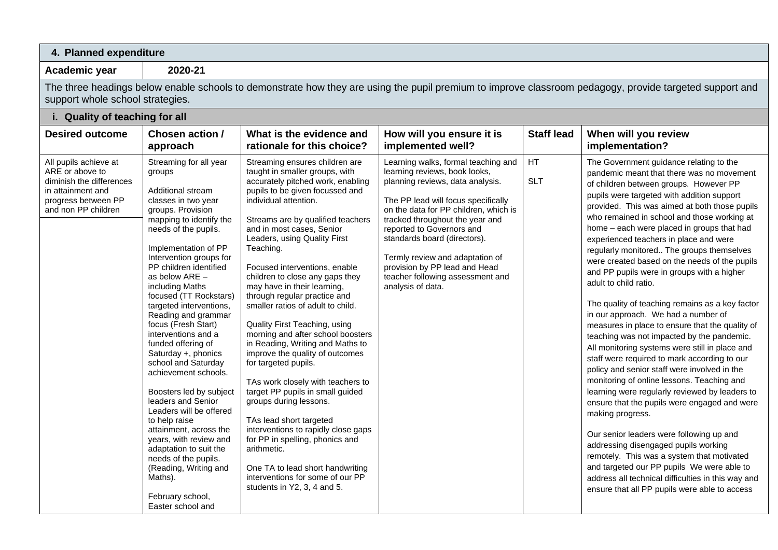## **4. Planned expenditure**

**Academic year 2020-21**

The three headings below enable schools to demonstrate how they are using the pupil premium to improve classroom pedagogy, provide targeted support and support whole school strategies.

**i. Quality of teaching for all**

| <b>Desired outcome</b>                                                                                                                  | Chosen action /<br>approach                                                                                                                                                                                                                                                                                                                                                                                                                                                                                                                                                                                                                                                                                                                                                  | What is the evidence and<br>rationale for this choice?                                                                                                                                                                                                                                                                                                                                                                                                                                                                                                                                                                                                                                                                                                                                                                                                                                                                                                      | How will you ensure it is<br>implemented well?                                                                                                                                                                                                                                                                                                                                                                        | <b>Staff lead</b>       | When will you review<br>implementation?                                                                                                                                                                                                                                                                                                                                                                                                                                                                                                                                                                                                                                                                                                                                                                                                                                                                                                                                                                                                                                                                                                                                                                                                                                                                                                           |
|-----------------------------------------------------------------------------------------------------------------------------------------|------------------------------------------------------------------------------------------------------------------------------------------------------------------------------------------------------------------------------------------------------------------------------------------------------------------------------------------------------------------------------------------------------------------------------------------------------------------------------------------------------------------------------------------------------------------------------------------------------------------------------------------------------------------------------------------------------------------------------------------------------------------------------|-------------------------------------------------------------------------------------------------------------------------------------------------------------------------------------------------------------------------------------------------------------------------------------------------------------------------------------------------------------------------------------------------------------------------------------------------------------------------------------------------------------------------------------------------------------------------------------------------------------------------------------------------------------------------------------------------------------------------------------------------------------------------------------------------------------------------------------------------------------------------------------------------------------------------------------------------------------|-----------------------------------------------------------------------------------------------------------------------------------------------------------------------------------------------------------------------------------------------------------------------------------------------------------------------------------------------------------------------------------------------------------------------|-------------------------|---------------------------------------------------------------------------------------------------------------------------------------------------------------------------------------------------------------------------------------------------------------------------------------------------------------------------------------------------------------------------------------------------------------------------------------------------------------------------------------------------------------------------------------------------------------------------------------------------------------------------------------------------------------------------------------------------------------------------------------------------------------------------------------------------------------------------------------------------------------------------------------------------------------------------------------------------------------------------------------------------------------------------------------------------------------------------------------------------------------------------------------------------------------------------------------------------------------------------------------------------------------------------------------------------------------------------------------------------|
| All pupils achieve at<br>ARE or above to<br>diminish the differences<br>in attainment and<br>progress between PP<br>and non PP children | Streaming for all year<br>groups<br>Additional stream<br>classes in two year<br>groups. Provision<br>mapping to identify the<br>needs of the pupils.<br>Implementation of PP<br>Intervention groups for<br>PP children identified<br>as below ARE -<br>including Maths<br>focused (TT Rockstars)<br>targeted interventions,<br>Reading and grammar<br>focus (Fresh Start)<br>interventions and a<br>funded offering of<br>Saturday +, phonics<br>school and Saturday<br>achievement schools.<br>Boosters led by subject<br>leaders and Senior<br>Leaders will be offered<br>to help raise<br>attainment, across the<br>years, with review and<br>adaptation to suit the<br>needs of the pupils.<br>(Reading, Writing and<br>Maths).<br>February school,<br>Easter school and | Streaming ensures children are<br>taught in smaller groups, with<br>accurately pitched work, enabling<br>pupils to be given focussed and<br>individual attention.<br>Streams are by qualified teachers<br>and in most cases, Senior<br>Leaders, using Quality First<br>Teaching.<br>Focused interventions, enable<br>children to close any gaps they<br>may have in their learning,<br>through regular practice and<br>smaller ratios of adult to child.<br>Quality First Teaching, using<br>morning and after school boosters<br>in Reading, Writing and Maths to<br>improve the quality of outcomes<br>for targeted pupils.<br>TAs work closely with teachers to<br>target PP pupils in small guided<br>groups during lessons.<br>TAs lead short targeted<br>interventions to rapidly close gaps<br>for PP in spelling, phonics and<br>arithmetic.<br>One TA to lead short handwriting<br>interventions for some of our PP<br>students in Y2, 3, 4 and 5. | Learning walks, formal teaching and<br>learning reviews, book looks,<br>planning reviews, data analysis.<br>The PP lead will focus specifically<br>on the data for PP children, which is<br>tracked throughout the year and<br>reported to Governors and<br>standards board (directors).<br>Termly review and adaptation of<br>provision by PP lead and Head<br>teacher following assessment and<br>analysis of data. | <b>HT</b><br><b>SLT</b> | The Government guidance relating to the<br>pandemic meant that there was no movement<br>of children between groups. However PP<br>pupils were targeted with addition support<br>provided. This was aimed at both those pupils<br>who remained in school and those working at<br>home - each were placed in groups that had<br>experienced teachers in place and were<br>regularly monitored The groups themselves<br>were created based on the needs of the pupils<br>and PP pupils were in groups with a higher<br>adult to child ratio.<br>The quality of teaching remains as a key factor<br>in our approach. We had a number of<br>measures in place to ensure that the quality of<br>teaching was not impacted by the pandemic.<br>All monitoring systems were still in place and<br>staff were required to mark according to our<br>policy and senior staff were involved in the<br>monitoring of online lessons. Teaching and<br>learning were regularly reviewed by leaders to<br>ensure that the pupils were engaged and were<br>making progress.<br>Our senior leaders were following up and<br>addressing disengaged pupils working<br>remotely. This was a system that motivated<br>and targeted our PP pupils We were able to<br>address all technical difficulties in this way and<br>ensure that all PP pupils were able to access |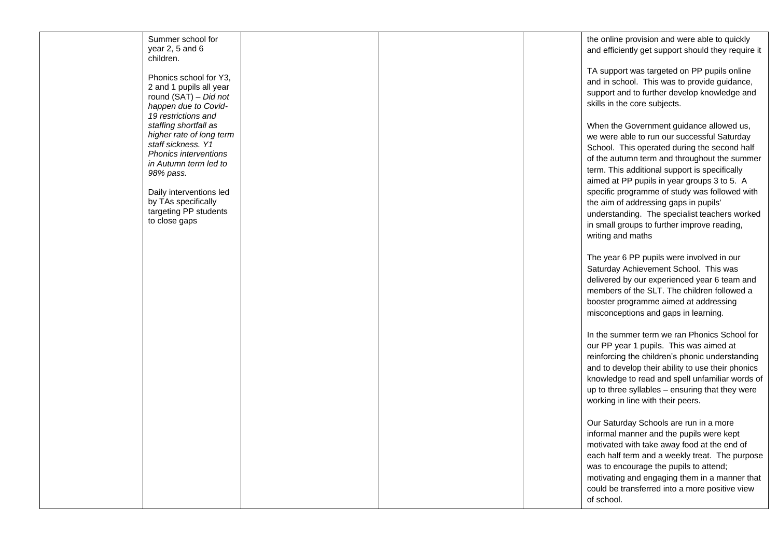| Summer school for<br>year 2, 5 and 6<br>children.                                                                                                             |  | the online provision and were able to quickly<br>and efficiently get support should they require it                                                                                                                                                                                                                                            |
|---------------------------------------------------------------------------------------------------------------------------------------------------------------|--|------------------------------------------------------------------------------------------------------------------------------------------------------------------------------------------------------------------------------------------------------------------------------------------------------------------------------------------------|
| Phonics school for Y3,<br>2 and 1 pupils all year<br>round (SAT) - Did not<br>happen due to Covid-                                                            |  | TA support was targeted on PP pupils online<br>and in school. This was to provide guidance,<br>support and to further develop knowledge and<br>skills in the core subjects.                                                                                                                                                                    |
| 19 restrictions and<br>staffing shortfall as<br>higher rate of long term<br>staff sickness. Y1<br>Phonics interventions<br>in Autumn term led to<br>98% pass. |  | When the Government guidance allowed us,<br>we were able to run our successful Saturday<br>School. This operated during the second half<br>of the autumn term and throughout the summer<br>term. This additional support is specifically<br>aimed at PP pupils in year groups 3 to 5. A                                                        |
| Daily interventions led<br>by TAs specifically<br>targeting PP students<br>to close gaps                                                                      |  | specific programme of study was followed with<br>the aim of addressing gaps in pupils'<br>understanding. The specialist teachers worked<br>in small groups to further improve reading,<br>writing and maths                                                                                                                                    |
|                                                                                                                                                               |  | The year 6 PP pupils were involved in our<br>Saturday Achievement School. This was<br>delivered by our experienced year 6 team and<br>members of the SLT. The children followed a<br>booster programme aimed at addressing<br>misconceptions and gaps in learning.                                                                             |
|                                                                                                                                                               |  | In the summer term we ran Phonics School for<br>our PP year 1 pupils. This was aimed at<br>reinforcing the children's phonic understanding<br>and to develop their ability to use their phonics<br>knowledge to read and spell unfamiliar words of<br>up to three syllables - ensuring that they were<br>working in line with their peers.     |
|                                                                                                                                                               |  | Our Saturday Schools are run in a more<br>informal manner and the pupils were kept<br>motivated with take away food at the end of<br>each half term and a weekly treat. The purpose<br>was to encourage the pupils to attend;<br>motivating and engaging them in a manner that<br>could be transferred into a more positive view<br>of school. |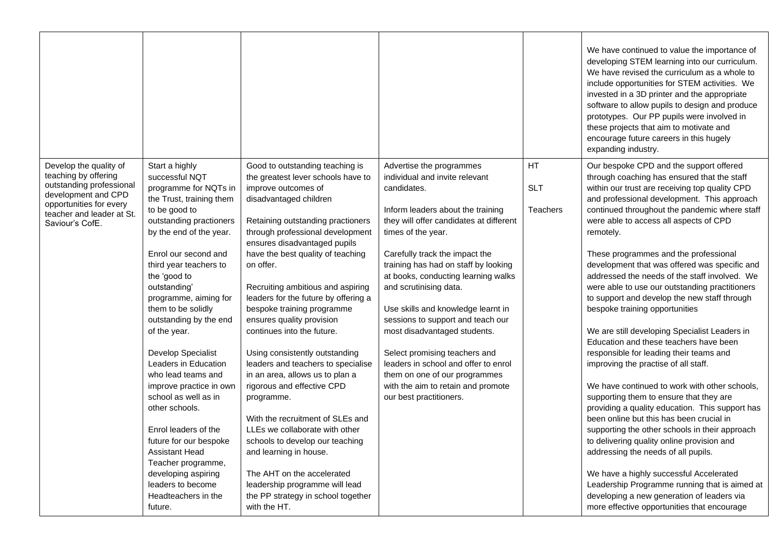|                                                                                                                                                                              |                                                                                                                                                                                                                                                                                                                                                                                                                                                                                                                                                                                                                                                                 |                                                                                                                                                                                                                                                                                                                                                                                                                                                                                                                                                                                                                                                                                                                                                                                                                                                                         |                                                                                                                                                                                                                                                                                                                                                                                                                                                                                                                                                                                                                  |                                     | We have continued to value the importance of<br>developing STEM learning into our curriculum.<br>We have revised the curriculum as a whole to<br>include opportunities for STEM activities. We<br>invested in a 3D printer and the appropriate<br>software to allow pupils to design and produce<br>prototypes. Our PP pupils were involved in<br>these projects that aim to motivate and<br>encourage future careers in this hugely<br>expanding industry.                                                                                                                                                                                                                                                                                                                                                                                                                                                                                                                                                                                                                                                                                                                                                                                                                             |
|------------------------------------------------------------------------------------------------------------------------------------------------------------------------------|-----------------------------------------------------------------------------------------------------------------------------------------------------------------------------------------------------------------------------------------------------------------------------------------------------------------------------------------------------------------------------------------------------------------------------------------------------------------------------------------------------------------------------------------------------------------------------------------------------------------------------------------------------------------|-------------------------------------------------------------------------------------------------------------------------------------------------------------------------------------------------------------------------------------------------------------------------------------------------------------------------------------------------------------------------------------------------------------------------------------------------------------------------------------------------------------------------------------------------------------------------------------------------------------------------------------------------------------------------------------------------------------------------------------------------------------------------------------------------------------------------------------------------------------------------|------------------------------------------------------------------------------------------------------------------------------------------------------------------------------------------------------------------------------------------------------------------------------------------------------------------------------------------------------------------------------------------------------------------------------------------------------------------------------------------------------------------------------------------------------------------------------------------------------------------|-------------------------------------|-----------------------------------------------------------------------------------------------------------------------------------------------------------------------------------------------------------------------------------------------------------------------------------------------------------------------------------------------------------------------------------------------------------------------------------------------------------------------------------------------------------------------------------------------------------------------------------------------------------------------------------------------------------------------------------------------------------------------------------------------------------------------------------------------------------------------------------------------------------------------------------------------------------------------------------------------------------------------------------------------------------------------------------------------------------------------------------------------------------------------------------------------------------------------------------------------------------------------------------------------------------------------------------------|
| Develop the quality of<br>teaching by offering<br>outstanding professional<br>development and CPD<br>opportunities for every<br>teacher and leader at St.<br>Saviour's CofE. | Start a highly<br>successful NQT<br>programme for NQTs in<br>the Trust, training them<br>to be good to<br>outstanding practioners<br>by the end of the year.<br>Enrol our second and<br>third year teachers to<br>the 'good to<br>outstanding'<br>programme, aiming for<br>them to be solidly<br>outstanding by the end<br>of the year.<br>Develop Specialist<br>Leaders in Education<br>who lead teams and<br>improve practice in own<br>school as well as in<br>other schools.<br>Enrol leaders of the<br>future for our bespoke<br><b>Assistant Head</b><br>Teacher programme,<br>developing aspiring<br>leaders to become<br>Headteachers in the<br>future. | Good to outstanding teaching is<br>the greatest lever schools have to<br>improve outcomes of<br>disadvantaged children<br>Retaining outstanding practioners<br>through professional development<br>ensures disadvantaged pupils<br>have the best quality of teaching<br>on offer.<br>Recruiting ambitious and aspiring<br>leaders for the future by offering a<br>bespoke training programme<br>ensures quality provision<br>continues into the future.<br>Using consistently outstanding<br>leaders and teachers to specialise<br>in an area, allows us to plan a<br>rigorous and effective CPD<br>programme.<br>With the recruitment of SLEs and<br>LLEs we collaborate with other<br>schools to develop our teaching<br>and learning in house.<br>The AHT on the accelerated<br>leadership programme will lead<br>the PP strategy in school together<br>with the HT. | Advertise the programmes<br>individual and invite relevant<br>candidates.<br>Inform leaders about the training<br>they will offer candidates at different<br>times of the year.<br>Carefully track the impact the<br>training has had on staff by looking<br>at books, conducting learning walks<br>and scrutinising data.<br>Use skills and knowledge learnt in<br>sessions to support and teach our<br>most disadvantaged students.<br>Select promising teachers and<br>leaders in school and offer to enrol<br>them on one of our programmes<br>with the aim to retain and promote<br>our best practitioners. | HT<br><b>SLT</b><br><b>Teachers</b> | Our bespoke CPD and the support offered<br>through coaching has ensured that the staff<br>within our trust are receiving top quality CPD<br>and professional development. This approach<br>continued throughout the pandemic where staff<br>were able to access all aspects of CPD<br>remotely.<br>These programmes and the professional<br>development that was offered was specific and<br>addressed the needs of the staff involved. We<br>were able to use our outstanding practitioners<br>to support and develop the new staff through<br>bespoke training opportunities<br>We are still developing Specialist Leaders in<br>Education and these teachers have been<br>responsible for leading their teams and<br>improving the practise of all staff.<br>We have continued to work with other schools,<br>supporting them to ensure that they are<br>providing a quality education. This support has<br>been online but this has been crucial in<br>supporting the other schools in their approach<br>to delivering quality online provision and<br>addressing the needs of all pupils.<br>We have a highly successful Accelerated<br>Leadership Programme running that is aimed at<br>developing a new generation of leaders via<br>more effective opportunities that encourage |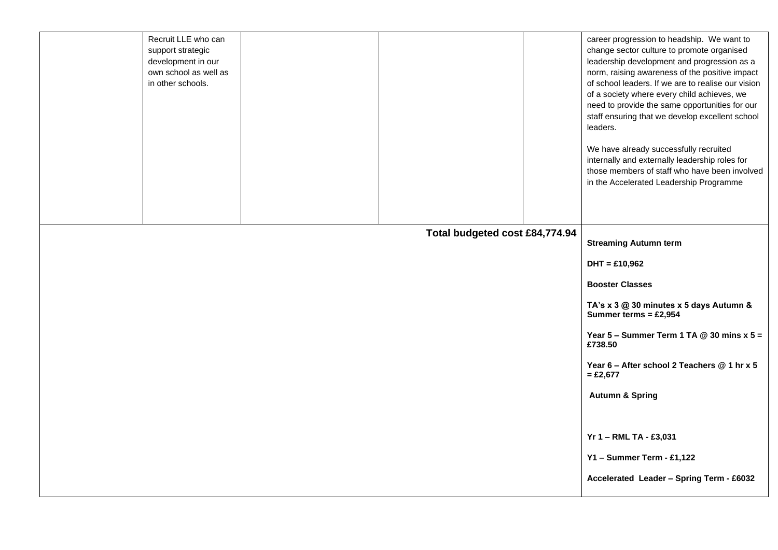|  | Recruit LLE who can<br>support strategic<br>development in our<br>own school as well as<br>in other schools. |                                | career progression to headship. We want to<br>change sector culture to promote organised<br>leadership development and progression as a<br>norm, raising awareness of the positive impact<br>of school leaders. If we are to realise our vision<br>of a society where every child achieves, we<br>need to provide the same opportunities for our<br>staff ensuring that we develop excellent school<br>leaders. |
|--|--------------------------------------------------------------------------------------------------------------|--------------------------------|-----------------------------------------------------------------------------------------------------------------------------------------------------------------------------------------------------------------------------------------------------------------------------------------------------------------------------------------------------------------------------------------------------------------|
|  |                                                                                                              |                                | We have already successfully recruited<br>internally and externally leadership roles for<br>those members of staff who have been involved<br>in the Accelerated Leadership Programme                                                                                                                                                                                                                            |
|  |                                                                                                              |                                |                                                                                                                                                                                                                                                                                                                                                                                                                 |
|  |                                                                                                              | Total budgeted cost £84,774.94 | <b>Streaming Autumn term</b>                                                                                                                                                                                                                                                                                                                                                                                    |
|  |                                                                                                              |                                | $DHT = £10,962$                                                                                                                                                                                                                                                                                                                                                                                                 |
|  |                                                                                                              |                                | <b>Booster Classes</b>                                                                                                                                                                                                                                                                                                                                                                                          |
|  |                                                                                                              |                                | TA's x 3 @ 30 minutes x 5 days Autumn &<br>Summer terms = $£2,954$                                                                                                                                                                                                                                                                                                                                              |
|  |                                                                                                              |                                | Year 5 – Summer Term 1 TA $@$ 30 mins x 5 =<br>£738.50                                                                                                                                                                                                                                                                                                                                                          |
|  |                                                                                                              |                                | Year 6 - After school 2 Teachers @ 1 hr x 5<br>$= £2,677$                                                                                                                                                                                                                                                                                                                                                       |
|  |                                                                                                              |                                | <b>Autumn &amp; Spring</b>                                                                                                                                                                                                                                                                                                                                                                                      |
|  |                                                                                                              |                                |                                                                                                                                                                                                                                                                                                                                                                                                                 |
|  |                                                                                                              |                                | Yr 1 - RML TA - £3,031                                                                                                                                                                                                                                                                                                                                                                                          |
|  |                                                                                                              |                                | Y1 - Summer Term - £1,122                                                                                                                                                                                                                                                                                                                                                                                       |
|  |                                                                                                              |                                | Accelerated Leader - Spring Term - £6032                                                                                                                                                                                                                                                                                                                                                                        |
|  |                                                                                                              |                                |                                                                                                                                                                                                                                                                                                                                                                                                                 |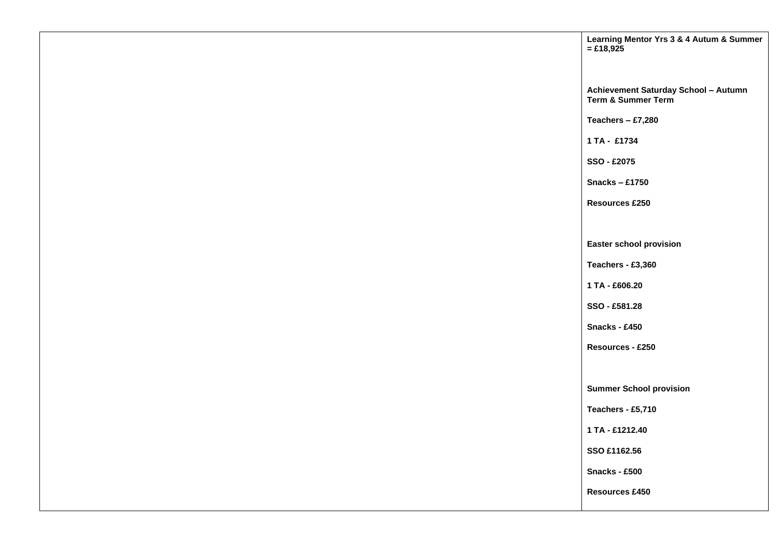| Learning Mentor Yrs 3 & 4 Autum & Summer<br>$=$ £18,925    |
|------------------------------------------------------------|
|                                                            |
| Achievement Saturday School - Autumn<br>Term & Summer Term |
| Teachers $- £7,280$                                        |
| 1 TA - £1734                                               |
| SSO - £2075                                                |
| Snacks - $£1750$                                           |
| <b>Resources £250</b>                                      |
|                                                            |
| <b>Easter school provision</b>                             |
| Teachers - £3,360                                          |
| 1 TA - £606.20                                             |
| SSO - £581.28                                              |
| Snacks - £450                                              |
| Resources - £250                                           |
|                                                            |
| <b>Summer School provision</b>                             |
| Teachers - £5,710                                          |
| 1 TA - £1212.40                                            |
| SSO £1162.56                                               |
| Snacks - £500                                              |
| Resources £450                                             |
|                                                            |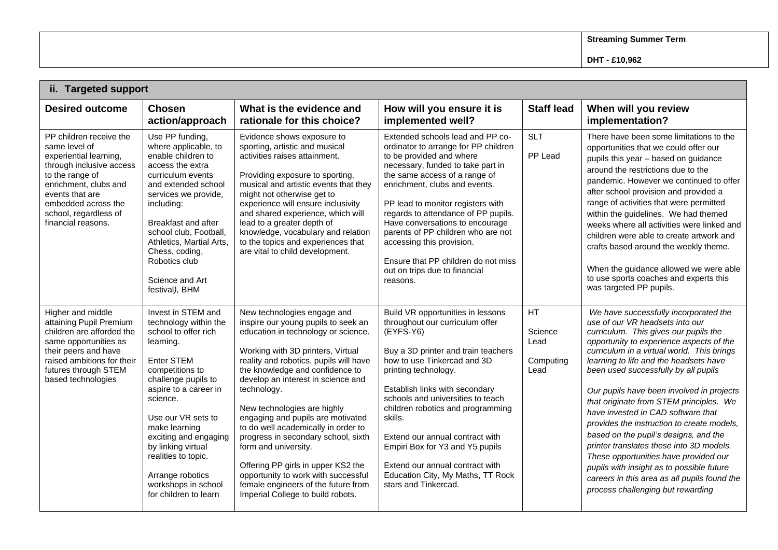**Streaming Summer Term**

| ii. Targeted support                                                                                                                                                                                                                |                                                                                                                                                                                                                                                                                                                                                                |                                                                                                                                                                                                                                                                                                                                                                                                                                                                                                                                                                                                                     |                                                                                                                                                                                                                                                                                                                                                                                                                                                                                   |                                            |                                                                                                                                                                                                                                                                                                                                                                                                                                                                                                                                                                                                                                                                                                                                           |  |
|-------------------------------------------------------------------------------------------------------------------------------------------------------------------------------------------------------------------------------------|----------------------------------------------------------------------------------------------------------------------------------------------------------------------------------------------------------------------------------------------------------------------------------------------------------------------------------------------------------------|---------------------------------------------------------------------------------------------------------------------------------------------------------------------------------------------------------------------------------------------------------------------------------------------------------------------------------------------------------------------------------------------------------------------------------------------------------------------------------------------------------------------------------------------------------------------------------------------------------------------|-----------------------------------------------------------------------------------------------------------------------------------------------------------------------------------------------------------------------------------------------------------------------------------------------------------------------------------------------------------------------------------------------------------------------------------------------------------------------------------|--------------------------------------------|-------------------------------------------------------------------------------------------------------------------------------------------------------------------------------------------------------------------------------------------------------------------------------------------------------------------------------------------------------------------------------------------------------------------------------------------------------------------------------------------------------------------------------------------------------------------------------------------------------------------------------------------------------------------------------------------------------------------------------------------|--|
| <b>Desired outcome</b>                                                                                                                                                                                                              | <b>Chosen</b><br>action/approach                                                                                                                                                                                                                                                                                                                               | What is the evidence and<br>rationale for this choice?                                                                                                                                                                                                                                                                                                                                                                                                                                                                                                                                                              | How will you ensure it is<br>implemented well?                                                                                                                                                                                                                                                                                                                                                                                                                                    | <b>Staff lead</b>                          | When will you review<br>implementation?                                                                                                                                                                                                                                                                                                                                                                                                                                                                                                                                                                                                                                                                                                   |  |
| PP children receive the<br>same level of<br>experiential learning,<br>through inclusive access<br>to the range of<br>enrichment, clubs and<br>events that are<br>embedded across the<br>school, regardless of<br>financial reasons. | Use PP funding,<br>where applicable, to<br>enable children to<br>access the extra<br>curriculum events<br>and extended school<br>services we provide,<br>including:<br><b>Breakfast and after</b><br>school club, Football,<br>Athletics, Martial Arts,<br>Chess, coding,<br>Robotics club<br>Science and Art<br>festival), BHM                                | Evidence shows exposure to<br>sporting, artistic and musical<br>activities raises attainment.<br>Providing exposure to sporting,<br>musical and artistic events that they<br>might not otherwise get to<br>experience will ensure inclusivity<br>and shared experience, which will<br>lead to a greater depth of<br>knowledge, vocabulary and relation<br>to the topics and experiences that<br>are vital to child development.                                                                                                                                                                                     | Extended schools lead and PP co-<br>ordinator to arrange for PP children<br>to be provided and where<br>necessary, funded to take part in<br>the same access of a range of<br>enrichment, clubs and events.<br>PP lead to monitor registers with<br>regards to attendance of PP pupils.<br>Have conversations to encourage<br>parents of PP children who are not<br>accessing this provision.<br>Ensure that PP children do not miss<br>out on trips due to financial<br>reasons. | <b>SLT</b><br>PP Lead                      | There have been some limitations to the<br>opportunities that we could offer our<br>pupils this year - based on guidance<br>around the restrictions due to the<br>pandemic. However we continued to offer<br>after school provision and provided a<br>range of activities that were permitted<br>within the guidelines. We had themed<br>weeks where all activities were linked and<br>children were able to create artwork and<br>crafts based around the weekly theme.<br>When the guidance allowed we were able<br>to use sports coaches and experts this<br>was targeted PP pupils.                                                                                                                                                   |  |
| Higher and middle<br>attaining Pupil Premium<br>children are afforded the<br>same opportunities as<br>their peers and have<br>raised ambitions for their<br>futures through STEM<br>based technologies                              | Invest in STEM and<br>technology within the<br>school to offer rich<br>learning.<br>Enter STEM<br>competitions to<br>challenge pupils to<br>aspire to a career in<br>science.<br>Use our VR sets to<br>make learning<br>exciting and engaging<br>by linking virtual<br>realities to topic.<br>Arrange robotics<br>workshops in school<br>for children to learn | New technologies engage and<br>inspire our young pupils to seek an<br>education in technology or science.<br>Working with 3D printers, Virtual<br>reality and robotics, pupils will have<br>the knowledge and confidence to<br>develop an interest in science and<br>technology.<br>New technologies are highly<br>engaging and pupils are motivated<br>to do well academically in order to<br>progress in secondary school, sixth<br>form and university.<br>Offering PP girls in upper KS2 the<br>opportunity to work with successful<br>female engineers of the future from<br>Imperial College to build robots. | Build VR opportunities in lessons<br>throughout our curriculum offer<br>(EYFS-Y6)<br>Buy a 3D printer and train teachers<br>how to use Tinkercad and 3D<br>printing technology.<br>Establish links with secondary<br>schools and universities to teach<br>children robotics and programming<br>skills.<br>Extend our annual contract with<br>Empiri Box for Y3 and Y5 pupils<br>Extend our annual contract with<br>Education City, My Maths, TT Rock<br>stars and Tinkercad.      | HT<br>Science<br>Lead<br>Computing<br>Lead | We have successfully incorporated the<br>use of our VR headsets into our<br>curriculum. This gives our pupils the<br>opportunity to experience aspects of the<br>curriculum in a virtual world. This brings<br>learning to life and the headsets have<br>been used successfully by all pupils<br>Our pupils have been involved in projects<br>that originate from STEM principles. We<br>have invested in CAD software that<br>provides the instruction to create models,<br>based on the pupil's designs, and the<br>printer translates these into 3D models.<br>These opportunities have provided our<br>pupils with insight as to possible future<br>careers in this area as all pupils found the<br>process challenging but rewarding |  |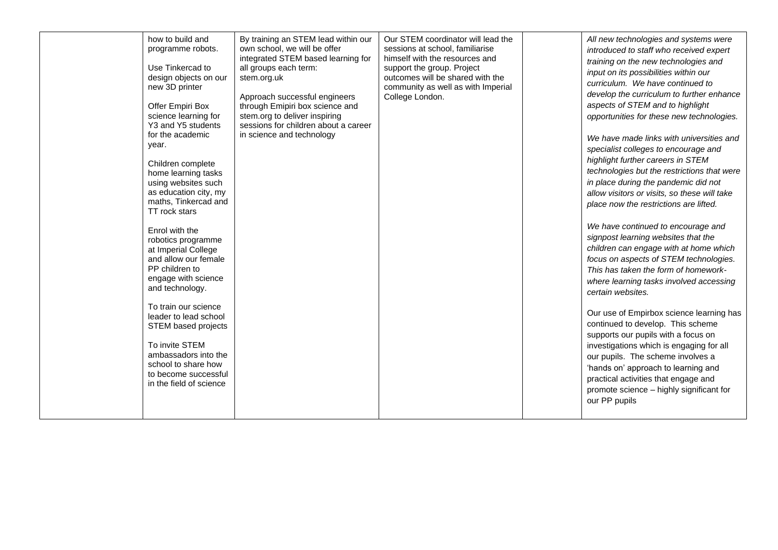| how to build and<br>programme robots.<br>Use Tinkercad to<br>design objects on our<br>new 3D printer<br>Offer Empiri Box<br>science learning for<br>Y3 and Y5 students<br>for the academic<br>year.<br>Children complete<br>home learning tasks<br>using websites such<br>as education city, my<br>maths, Tinkercad and<br>TT rock stars<br>Enrol with the<br>robotics programme<br>at Imperial College<br>and allow our female<br>PP children to<br>engage with science<br>and technology.<br>To train our science<br>leader to lead school<br>STEM based projects<br>To invite STEM<br>ambassadors into the<br>school to share how<br>to become successful<br>in the field of science | By training an STEM lead within our<br>own school, we will be offer<br>integrated STEM based learning for<br>all groups each term:<br>stem.org.uk<br>Approach successful engineers<br>through Emipiri box science and<br>stem.org to deliver inspiring<br>sessions for children about a career<br>in science and technology | Our STEM coordinator will lead the<br>sessions at school, familiarise<br>himself with the resources and<br>support the group. Project<br>outcomes will be shared with the<br>community as well as with Imperial<br>College London. | All new technologies and systems were<br>introduced to staff who received expert<br>training on the new technologies and<br>input on its possibilities within our<br>curriculum. We have continued to<br>develop the curriculum to further enhance<br>aspects of STEM and to highlight<br>opportunities for these new technologies.<br>We have made links with universities and<br>specialist colleges to encourage and<br>highlight further careers in STEM<br>technologies but the restrictions that were<br>in place during the pandemic did not<br>allow visitors or visits, so these will take<br>place now the restrictions are lifted.<br>We have continued to encourage and<br>signpost learning websites that the<br>children can engage with at home which<br>focus on aspects of STEM technologies.<br>This has taken the form of homework-<br>where learning tasks involved accessing<br>certain websites.<br>Our use of Empirbox science learning has<br>continued to develop. This scheme<br>supports our pupils with a focus on<br>investigations which is engaging for all<br>our pupils. The scheme involves a<br>'hands on' approach to learning and<br>practical activities that engage and<br>promote science - highly significant for<br>our PP pupils |
|-----------------------------------------------------------------------------------------------------------------------------------------------------------------------------------------------------------------------------------------------------------------------------------------------------------------------------------------------------------------------------------------------------------------------------------------------------------------------------------------------------------------------------------------------------------------------------------------------------------------------------------------------------------------------------------------|-----------------------------------------------------------------------------------------------------------------------------------------------------------------------------------------------------------------------------------------------------------------------------------------------------------------------------|------------------------------------------------------------------------------------------------------------------------------------------------------------------------------------------------------------------------------------|-----------------------------------------------------------------------------------------------------------------------------------------------------------------------------------------------------------------------------------------------------------------------------------------------------------------------------------------------------------------------------------------------------------------------------------------------------------------------------------------------------------------------------------------------------------------------------------------------------------------------------------------------------------------------------------------------------------------------------------------------------------------------------------------------------------------------------------------------------------------------------------------------------------------------------------------------------------------------------------------------------------------------------------------------------------------------------------------------------------------------------------------------------------------------------------------------------------------------------------------------------------------------------|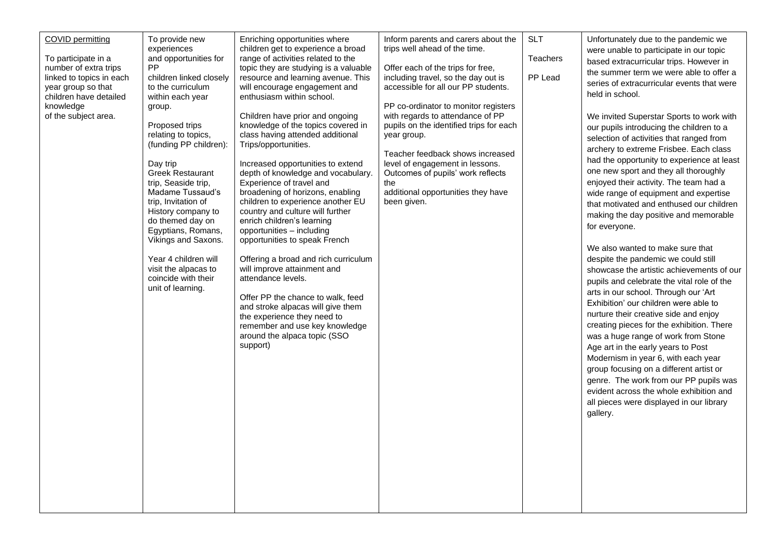| <b>COVID permitting</b><br>To participate in a<br>number of extra trips<br>linked to topics in each<br>year group so that<br>children have detailed<br>knowledge<br>of the subject area. | To provide new<br>experiences<br>and opportunities for<br><b>PP</b><br>children linked closely<br>to the curriculum<br>within each year<br>group.<br>Proposed trips<br>relating to topics,<br>(funding PP children):<br>Day trip<br><b>Greek Restaurant</b><br>trip, Seaside trip,<br>Madame Tussaud's<br>trip, Invitation of<br>History company to<br>do themed day on<br>Egyptians, Romans,<br>Vikings and Saxons.<br>Year 4 children will<br>visit the alpacas to<br>coincide with their<br>unit of learning. | Enriching opportunities where<br>children get to experience a broad<br>range of activities related to the<br>topic they are studying is a valuable<br>resource and learning avenue. This<br>will encourage engagement and<br>enthusiasm within school.<br>Children have prior and ongoing<br>knowledge of the topics covered in<br>class having attended additional<br>Trips/opportunities.<br>Increased opportunities to extend<br>depth of knowledge and vocabulary.<br>Experience of travel and<br>broadening of horizons, enabling<br>children to experience another EU<br>country and culture will further<br>enrich children's learning<br>opportunities - including<br>opportunities to speak French<br>Offering a broad and rich curriculum<br>will improve attainment and<br>attendance levels.<br>Offer PP the chance to walk, feed<br>and stroke alpacas will give them<br>the experience they need to<br>remember and use key knowledge<br>around the alpaca topic (SSO<br>support) | Inform parents and carers about the<br>trips well ahead of the time.<br>Offer each of the trips for free,<br>including travel, so the day out is<br>accessible for all our PP students.<br>PP co-ordinator to monitor registers<br>with regards to attendance of PP<br>pupils on the identified trips for each<br>year group.<br>Teacher feedback shows increased<br>level of engagement in lessons.<br>Outcomes of pupils' work reflects<br>the<br>additional opportunities they have<br>been given. | <b>SLT</b><br>Teachers<br>PP Lead | Unfortunately due to the pandemic we<br>were unable to participate in our topic<br>based extracurricular trips. However in<br>the summer term we were able to offer a<br>series of extracurricular events that were<br>held in school.<br>We invited Superstar Sports to work with<br>our pupils introducing the children to a<br>selection of activities that ranged from<br>archery to extreme Frisbee. Each class<br>had the opportunity to experience at least<br>one new sport and they all thoroughly<br>enjoyed their activity. The team had a<br>wide range of equipment and expertise<br>that motivated and enthused our children<br>making the day positive and memorable<br>for everyone.<br>We also wanted to make sure that<br>despite the pandemic we could still<br>showcase the artistic achievements of our<br>pupils and celebrate the vital role of the<br>arts in our school. Through our 'Art<br>Exhibition' our children were able to<br>nurture their creative side and enjoy<br>creating pieces for the exhibition. There<br>was a huge range of work from Stone<br>Age art in the early years to Post<br>Modernism in year 6, with each year<br>group focusing on a different artist or<br>genre. The work from our PP pupils was<br>evident across the whole exhibition and<br>all pieces were displayed in our library<br>gallery. |
|------------------------------------------------------------------------------------------------------------------------------------------------------------------------------------------|------------------------------------------------------------------------------------------------------------------------------------------------------------------------------------------------------------------------------------------------------------------------------------------------------------------------------------------------------------------------------------------------------------------------------------------------------------------------------------------------------------------|-------------------------------------------------------------------------------------------------------------------------------------------------------------------------------------------------------------------------------------------------------------------------------------------------------------------------------------------------------------------------------------------------------------------------------------------------------------------------------------------------------------------------------------------------------------------------------------------------------------------------------------------------------------------------------------------------------------------------------------------------------------------------------------------------------------------------------------------------------------------------------------------------------------------------------------------------------------------------------------------------|-------------------------------------------------------------------------------------------------------------------------------------------------------------------------------------------------------------------------------------------------------------------------------------------------------------------------------------------------------------------------------------------------------------------------------------------------------------------------------------------------------|-----------------------------------|---------------------------------------------------------------------------------------------------------------------------------------------------------------------------------------------------------------------------------------------------------------------------------------------------------------------------------------------------------------------------------------------------------------------------------------------------------------------------------------------------------------------------------------------------------------------------------------------------------------------------------------------------------------------------------------------------------------------------------------------------------------------------------------------------------------------------------------------------------------------------------------------------------------------------------------------------------------------------------------------------------------------------------------------------------------------------------------------------------------------------------------------------------------------------------------------------------------------------------------------------------------------------------------------------------------------------------------------------------------|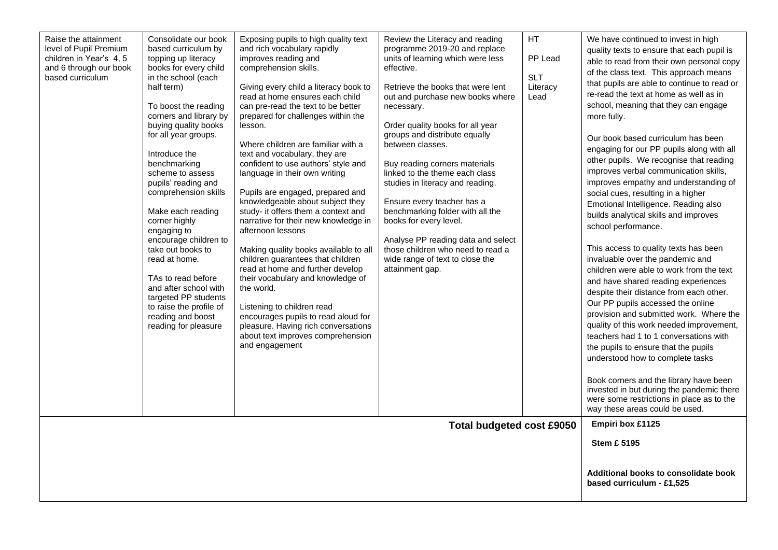|                                                        | Raise the attainment<br>level of Pupil Premium<br>children in Year's 4, 5<br>and 6 through our book<br>based curriculum | Consolidate our book<br>based curriculum by<br>topping up literacy<br>books for every child<br>in the school (each<br>half term)<br>To boost the reading<br>corners and library by<br>buying quality books<br>for all year groups.<br>Introduce the<br>benchmarking<br>scheme to assess<br>pupils' reading and<br>comprehension skills<br>Make each reading<br>corner highly<br>engaging to<br>encourage children to<br>take out books to<br>read at home.<br>TAs to read before<br>and after school with<br>targeted PP students<br>to raise the profile of<br>reading and boost<br>reading for pleasure | Exposing pupils to high quality text<br>and rich vocabulary rapidly<br>improves reading and<br>comprehension skills.<br>Giving every child a literacy book to<br>read at home ensures each child<br>can pre-read the text to be better<br>prepared for challenges within the<br>lesson.<br>Where children are familiar with a<br>text and vocabulary, they are<br>confident to use authors' style and<br>language in their own writing<br>Pupils are engaged, prepared and<br>knowledgeable about subject they<br>study- it offers them a context and<br>narrative for their new knowledge in<br>afternoon lessons<br>Making quality books available to all<br>children guarantees that children<br>read at home and further develop<br>their vocabulary and knowledge of<br>the world.<br>Listening to children read<br>encourages pupils to read aloud for<br>pleasure. Having rich conversations<br>about text improves comprehension<br>and engagement | Review the Literacy and reading<br>programme 2019-20 and replace<br>units of learning which were less<br>effective.<br>Retrieve the books that were lent<br>out and purchase new books where<br>necessary.<br>Order quality books for all year<br>groups and distribute equally<br>between classes.<br>Buy reading corners materials<br>linked to the theme each class<br>studies in literacy and reading.<br>Ensure every teacher has a<br>benchmarking folder with all the<br>books for every level.<br>Analyse PP reading data and select<br>those children who need to read a<br>wide range of text to close the<br>attainment gap. | <b>HT</b><br>PP Lead<br><b>SLT</b><br>Literacy<br>Lead | We have continued to invest in high<br>quality texts to ensure that each pupil is<br>able to read from their own personal copy<br>of the class text. This approach means<br>that pupils are able to continue to read or<br>re-read the text at home as well as in<br>school, meaning that they can engage<br>more fully.<br>Our book based curriculum has been<br>engaging for our PP pupils along with all<br>other pupils. We recognise that reading<br>improves verbal communication skills,<br>improves empathy and understanding of<br>social cues, resulting in a higher<br>Emotional Intelligence. Reading also<br>builds analytical skills and improves<br>school performance.<br>This access to quality texts has been<br>invaluable over the pandemic and<br>children were able to work from the text<br>and have shared reading experiences<br>despite their distance from each other.<br>Our PP pupils accessed the online<br>provision and submitted work. Where the<br>quality of this work needed improvement,<br>teachers had 1 to 1 conversations with<br>the pupils to ensure that the pupils<br>understood how to complete tasks<br>Book corners and the library have been<br>invested in but during the pandemic there<br>were some restrictions in place as to the<br>way these areas could be used. |
|--------------------------------------------------------|-------------------------------------------------------------------------------------------------------------------------|-----------------------------------------------------------------------------------------------------------------------------------------------------------------------------------------------------------------------------------------------------------------------------------------------------------------------------------------------------------------------------------------------------------------------------------------------------------------------------------------------------------------------------------------------------------------------------------------------------------|------------------------------------------------------------------------------------------------------------------------------------------------------------------------------------------------------------------------------------------------------------------------------------------------------------------------------------------------------------------------------------------------------------------------------------------------------------------------------------------------------------------------------------------------------------------------------------------------------------------------------------------------------------------------------------------------------------------------------------------------------------------------------------------------------------------------------------------------------------------------------------------------------------------------------------------------------------|-----------------------------------------------------------------------------------------------------------------------------------------------------------------------------------------------------------------------------------------------------------------------------------------------------------------------------------------------------------------------------------------------------------------------------------------------------------------------------------------------------------------------------------------------------------------------------------------------------------------------------------------|--------------------------------------------------------|---------------------------------------------------------------------------------------------------------------------------------------------------------------------------------------------------------------------------------------------------------------------------------------------------------------------------------------------------------------------------------------------------------------------------------------------------------------------------------------------------------------------------------------------------------------------------------------------------------------------------------------------------------------------------------------------------------------------------------------------------------------------------------------------------------------------------------------------------------------------------------------------------------------------------------------------------------------------------------------------------------------------------------------------------------------------------------------------------------------------------------------------------------------------------------------------------------------------------------------------------------------------------------------------------------------------------|
|                                                        |                                                                                                                         |                                                                                                                                                                                                                                                                                                                                                                                                                                                                                                                                                                                                           |                                                                                                                                                                                                                                                                                                                                                                                                                                                                                                                                                                                                                                                                                                                                                                                                                                                                                                                                                            | <b>Total budgeted cost £9050</b>                                                                                                                                                                                                                                                                                                                                                                                                                                                                                                                                                                                                        |                                                        | Empiri box £1125                                                                                                                                                                                                                                                                                                                                                                                                                                                                                                                                                                                                                                                                                                                                                                                                                                                                                                                                                                                                                                                                                                                                                                                                                                                                                                          |
| <b>Stem £ 5195</b><br><b>based curriculum - £1,525</b> |                                                                                                                         |                                                                                                                                                                                                                                                                                                                                                                                                                                                                                                                                                                                                           |                                                                                                                                                                                                                                                                                                                                                                                                                                                                                                                                                                                                                                                                                                                                                                                                                                                                                                                                                            |                                                                                                                                                                                                                                                                                                                                                                                                                                                                                                                                                                                                                                         |                                                        | Additional books to consolidate book                                                                                                                                                                                                                                                                                                                                                                                                                                                                                                                                                                                                                                                                                                                                                                                                                                                                                                                                                                                                                                                                                                                                                                                                                                                                                      |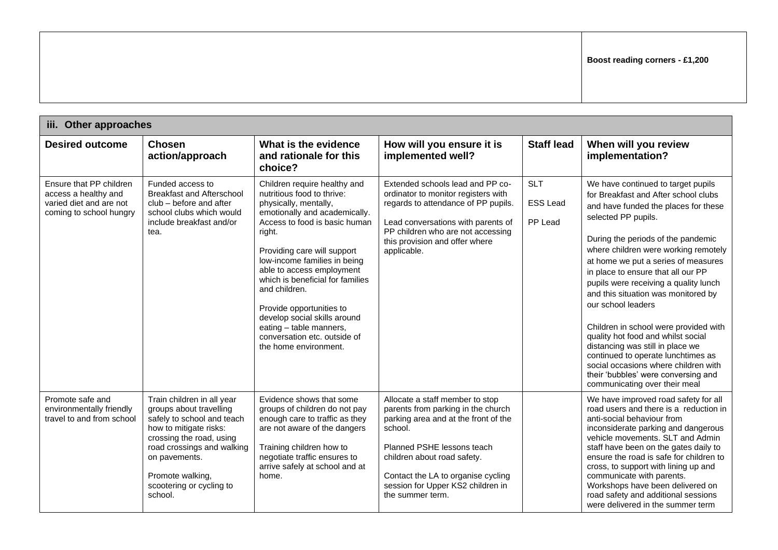| iii. Other approaches                                                                                 |                                                                                                                                                                                                                                                     |                                                                                                                                                                                                                                                                                                                                                                                                                                                                  |                                                                                                                                                                                                                                                                                      |                                          |                                                                                                                                                                                                                                                                                                                                                                                                                                                                                                                                                                                                                                                                                     |
|-------------------------------------------------------------------------------------------------------|-----------------------------------------------------------------------------------------------------------------------------------------------------------------------------------------------------------------------------------------------------|------------------------------------------------------------------------------------------------------------------------------------------------------------------------------------------------------------------------------------------------------------------------------------------------------------------------------------------------------------------------------------------------------------------------------------------------------------------|--------------------------------------------------------------------------------------------------------------------------------------------------------------------------------------------------------------------------------------------------------------------------------------|------------------------------------------|-------------------------------------------------------------------------------------------------------------------------------------------------------------------------------------------------------------------------------------------------------------------------------------------------------------------------------------------------------------------------------------------------------------------------------------------------------------------------------------------------------------------------------------------------------------------------------------------------------------------------------------------------------------------------------------|
| <b>Desired outcome</b>                                                                                | <b>Chosen</b><br>action/approach                                                                                                                                                                                                                    | What is the evidence<br>and rationale for this<br>choice?                                                                                                                                                                                                                                                                                                                                                                                                        | How will you ensure it is<br>implemented well?                                                                                                                                                                                                                                       | <b>Staff lead</b>                        | When will you review<br>implementation?                                                                                                                                                                                                                                                                                                                                                                                                                                                                                                                                                                                                                                             |
| Ensure that PP children<br>access a healthy and<br>varied diet and are not<br>coming to school hungry | Funded access to<br><b>Breakfast and Afterschool</b><br>club – before and after<br>school clubs which would<br>include breakfast and/or<br>tea.                                                                                                     | Children require healthy and<br>nutritious food to thrive:<br>physically, mentally,<br>emotionally and academically.<br>Access to food is basic human<br>right.<br>Providing care will support<br>low-income families in being<br>able to access employment<br>which is beneficial for families<br>and children.<br>Provide opportunities to<br>develop social skills around<br>eating - table manners,<br>conversation etc. outside of<br>the home environment. | Extended schools lead and PP co-<br>ordinator to monitor registers with<br>regards to attendance of PP pupils.<br>Lead conversations with parents of<br>PP children who are not accessing<br>this provision and offer where<br>applicable.                                           | <b>SLT</b><br><b>ESS Lead</b><br>PP Lead | We have continued to target pupils<br>for Breakfast and After school clubs<br>and have funded the places for these<br>selected PP pupils.<br>During the periods of the pandemic<br>where children were working remotely<br>at home we put a series of measures<br>in place to ensure that all our PP<br>pupils were receiving a quality lunch<br>and this situation was monitored by<br>our school leaders<br>Children in school were provided with<br>quality hot food and whilst social<br>distancing was still in place we<br>continued to operate lunchtimes as<br>social occasions where children with<br>their 'bubbles' were conversing and<br>communicating over their meal |
| Promote safe and<br>environmentally friendly<br>travel to and from school                             | Train children in all year<br>groups about travelling<br>safely to school and teach<br>how to mitigate risks:<br>crossing the road, using<br>road crossings and walking<br>on pavements.<br>Promote walking,<br>scootering or cycling to<br>school. | Evidence shows that some<br>groups of children do not pay<br>enough care to traffic as they<br>are not aware of the dangers<br>Training children how to<br>negotiate traffic ensures to<br>arrive safely at school and at<br>home.                                                                                                                                                                                                                               | Allocate a staff member to stop<br>parents from parking in the church<br>parking area and at the front of the<br>school.<br>Planned PSHE lessons teach<br>children about road safety.<br>Contact the LA to organise cycling<br>session for Upper KS2 children in<br>the summer term. |                                          | We have improved road safety for all<br>road users and there is a reduction in<br>anti-social behaviour from<br>inconsiderate parking and dangerous<br>vehicle movements. SLT and Admin<br>staff have been on the gates daily to<br>ensure the road is safe for children to<br>cross, to support with lining up and<br>communicate with parents.<br>Workshops have been delivered on<br>road safety and additional sessions<br>were delivered in the summer term                                                                                                                                                                                                                    |